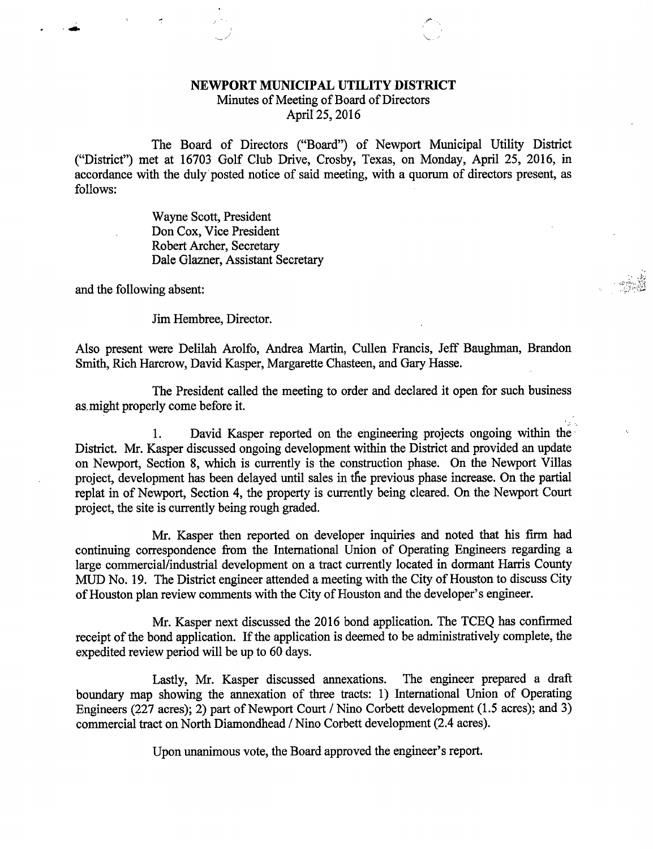## NEWPORT MUNICIPAL UTILITY DISTRICT

Minutes of Meeting of Board of Directors

April 25, 2016

The Board of Directors ("Board") of Newport Municipal Utility District ("District") met at 16703 Golf Club Drive, Crosby, Texas, on Monday, April 25, 2016, in accordance with the duly posted notice of said meeting, with a quorum of directors present, as follows:

> Wayne Scott, President Don Cox, Vice President Robert Archer, Secretary Dale Glazner, Assistant Secretary

and the following absent:

Jim Hembree, Director.

Also present were Delilah Arolfo, Andrea Martin, Cullen Francis, Jeff Baughman, Brandon Smith, Rich Harcrow, David Kasper, Margarette Chasteen, and Gary Hasse.

The President called the meeting to order and declared it open for such business as, might properly come before it.

1. David Kasper reported on the engineering projects ongoing within the District. Mr. Kasper discussed ongoing development within the District and provided an update on Newport, Section 8, which is currently is the construction phase. On the Newport Villas project, development has been delayed until sales in the previous phase increase. On the partial replat in of Newport, Section 4, the property is currently being cleared. On the Newport Court project, the site is currently being rough graded.

Mr. Kasper then reported on developer inquiries and noted that his firm had continuing correspondence from the International Union of Operating Engineers regarding a large commercial/industrial development on a tract currently located in dormant Harris County MUD No. 19. The District engineer attended a meeting with the City of Houston to discuss City of Houston plan review comments with the City of Houston and the developer's engineer.

Mr. Kasper next discussed the 2016 bond application. The TCEQ has confirmed receipt of the bond application. If the application is deemed to be administratively complete, the expedited review period will be up to 60 days.

Lastly, Mr. Kasper discussed annexations. The engineer prepared a draft boundary map showing the annexation of three tracts: 1) International Union of Operating Engineers (227 acres); 2) part of Newport Court / Nino Corbett development (1.5 acres); and 3) commercial tract on North Diamondhead / Nino Corbett development (2.4 acres).

Upon unanimous vote, the Board approved the engineer's report.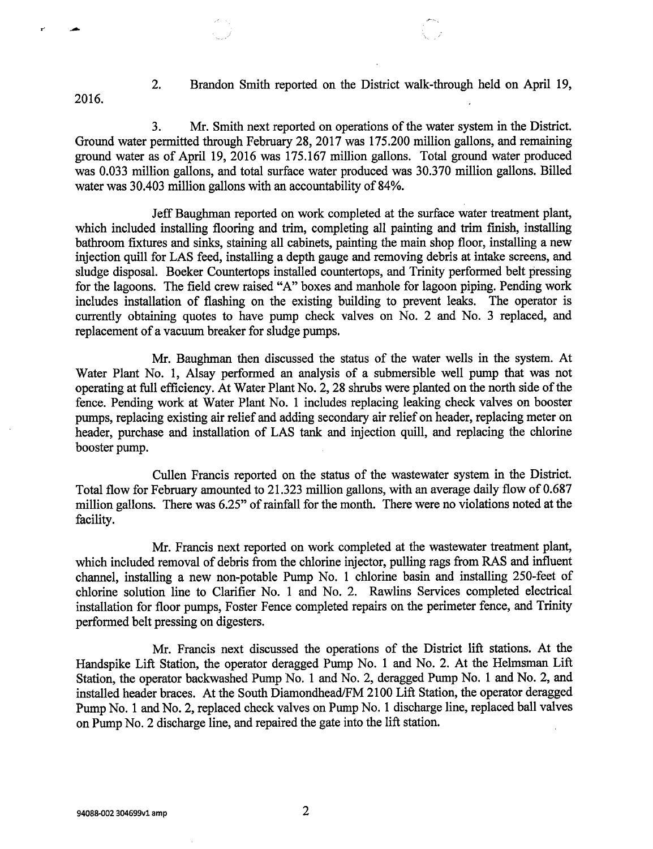2. Brandon Smith reported on the District walk-through held on April 19,

3. Mr. Smith next reported on operations of the water system in the District. Ground water permitted through February 28, 2017 was 175.200 million gallons, and remaining ground water as of April 19, 2016 was 175.167 million gallons. Total ground water produced was 0.033 million gallons, and total surface water produced was 30.370 million gallons. Billed water was 30.403 million gallons with an accountability of 84%.

Jeff Baughman reported on work completed at the surface water treatment plant, which included installing flooring and trim, completing all painting and trim finish, installing bathroom fixtures and sinks, staining all cabinets, painting the main shop floor, installing a new injection quill for LAS feed, installing a depth gauge and removing debris at intake screens, and sludge disposal. Boeker Countertops installed countertops, and Trinity performed belt pressing for the lagoons. The field crew raised "A" boxes and manhole for lagoon piping. Pending work includes installation of flashing on the existing building to prevent leaks. The operator is currently obtaining quotes to have pump check valves on No. 2 and No. 3 replaced, and replacement of a vacuum breaker for sludge pumps.

Mr. Baughman then discussed the status of the water wells in the system. At Water Plant No. 1, Alsay performed an analysis of a submersible well pump that was not operating at full efficiency. At Water Plant No. 2, 28 shrubs were planted on the north side of the fence. Pending work at Water Plant No. 1 includes replacing leaking check valves on booster pumps, replacing existing air relief and adding secondary air relief on header, replacing meter on header, purchase and installation of LAS tank and injection quill, and replacing the chlorine booster pump.

Cullen Francis reported on the status of the wastewater system in the District. Total flow for February amounted to 21.323 million gallons, with an average daily flow of 0.687 million gallons. There was 6.25" of rainfall for the month. There were no violations noted at the facility.

Mr. Francis next reported on work completed at the wastewater treatment plant, which included removal of debris from the chlorine injector, pulling rags from RAS and influent channel, installing a new non-potable Pump No. 1 chlorine basin and installing 250-feet of chlorine solution line to Clarifier No. 1 and No. 2. Rawlins Services completed electrical installation for floor pumps, Foster Fence completed repairs on the perimeter fence, and Trinity performed belt pressing on digesters.

Mr. Francis next discussed the operations of the District lift stations. At the Handspike Lift Station, the operator deragged Pump No. 1 and No. 2. At the Helmsman Lift Station, the operator backwashed Pump No. 1 and No. 2, deragged Pump No. 1 and No. 2, and installed header braces. At the South Diamondhead/FM 2100 Lift Station, the operator deragged Pump No. 1 and No. 2, replaced check valves on Pump No. 1 discharge line, replaced ball valves on Pump No. 2 discharge line, and repaired the gate into the lift station.

94088-002 304699v1 amp 2

2016.